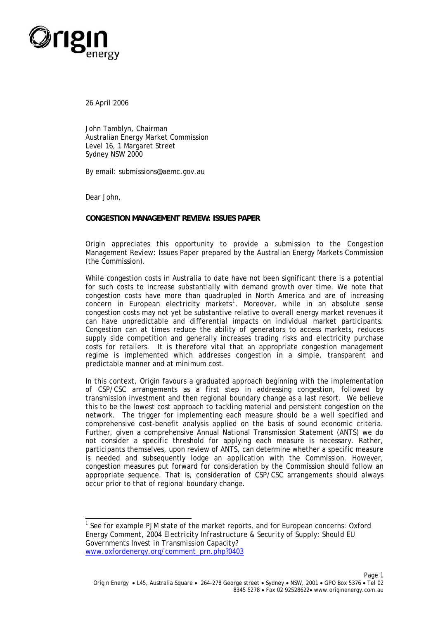

26 April 2006

John Tamblyn, Chairman Australian Energy Market Commission Level 16, 1 Margaret Street Sydney NSW 2000

By email: submissions@aemc.gov.au

Dear John,

# **CONGESTION MANAGEMENT REVIEW: ISSUES PAPER**

Origin appreciates this opportunity to provide a submission to the *Congestion Management Review: Issues Paper* prepared by the Australian Energy Markets Commission (the Commission).

While congestion costs in Australia to date have not been significant there is a potential for such costs to increase substantially with demand growth over time. We note that congestion costs have more than quadrupled in North America and are of increasing  $concern$  in European electricity markets<sup>[1](#page-0-0)</sup>. Moreover, while in an absolute sense congestion costs may not yet be substantive relative to overall energy market revenues it can have unpredictable and differential impacts on individual market participants. Congestion can at times reduce the ability of generators to access markets, reduces supply side competition and generally increases trading risks and electricity purchase costs for retailers. It is therefore vital that an appropriate congestion management regime is implemented which addresses congestion in a simple, transparent and predictable manner and at minimum cost.

In this context, Origin favours a graduated approach beginning with the implementation of CSP/CSC arrangements as a first step in addressing congestion, followed by transmission investment and then regional boundary change as a last resort. We believe this to be the lowest cost approach to tackling material and persistent congestion on the network. The trigger for implementing each measure should be a well specified and comprehensive cost-benefit analysis applied on the basis of sound economic criteria. Further, given a comprehensive Annual National Transmission Statement (ANTS) we do not consider a specific threshold for applying each measure is necessary. Rather, participants themselves, upon review of ANTS, can determine whether a specific measure is needed and subsequently lodge an application with the Commission. However, congestion measures put forward for consideration by the Commission should follow an appropriate sequence. That is, consideration of CSP/CSC arrangements should always occur prior to that of regional boundary change.

<span id="page-0-0"></span>1 <sup>1</sup> See for example PJM state of the market reports, and for European concerns: Oxford *Energy Comment, 2004 Electricity Infrastructure & Security of Supply: Should EU Governments Invest in Transmission Capacity?* [www.oxfordenergy.org/comment\\_prn.php?0403](http://www.oxfordenergy.org/comment_prn.php?0403)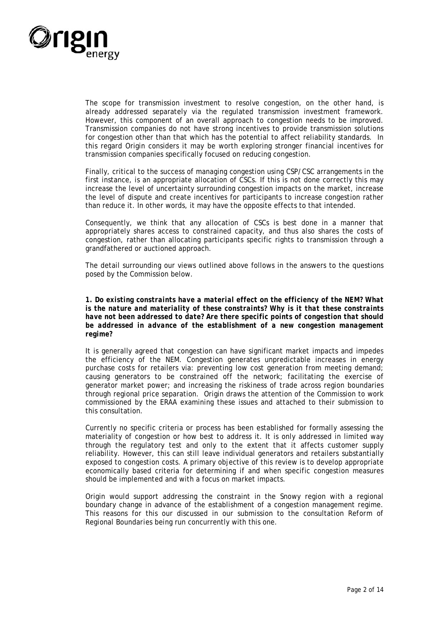

The scope for transmission investment to resolve congestion, on the other hand, is already addressed separately via the regulated transmission investment framework. However, this component of an overall approach to congestion needs to be improved. Transmission companies do not have strong incentives to provide transmission solutions for congestion other than that which has the potential to affect reliability standards. In this regard Origin considers it may be worth exploring stronger financial incentives for transmission companies specifically focused on reducing congestion.

Finally, critical to the success of managing congestion using CSP/CSC arrangements in the first instance, is an appropriate allocation of CSCs. If this is not done correctly this may increase the level of uncertainty surrounding congestion impacts on the market, increase the level of dispute and create incentives for participants to increase congestion rather than reduce it. In other words, it may have the opposite effects to that intended.

Consequently, we think that any allocation of CSCs is best done in a manner that appropriately shares access to constrained capacity, and thus also shares the costs of congestion, rather than allocating participants specific rights to transmission through a grandfathered or auctioned approach.

The detail surrounding our views outlined above follows in the answers to the questions posed by the Commission below.

### *1. Do existing constraints have a material effect on the efficiency of the NEM? What is the nature and materiality of these constraints? Why is it that these constraints have not been addressed to date? Are there specific points of congestion that should be addressed in advance of the establishment of a new congestion management regime?*

It is generally agreed that congestion can have significant market impacts and impedes the efficiency of the NEM. Congestion generates unpredictable increases in energy purchase costs for retailers via: preventing low cost generation from meeting demand; causing generators to be constrained off the network; facilitating the exercise of generator market power; and increasing the riskiness of trade across region boundaries through regional price separation. Origin draws the attention of the Commission to work commissioned by the ERAA examining these issues and attached to their submission to this consultation.

Currently no specific criteria or process has been established for formally assessing the materiality of congestion or how best to address it. It is only addressed in limited way through the regulatory test and only to the extent that it affects customer supply reliability. However, this can still leave individual generators and retailers substantially exposed to congestion costs. A primary objective of this review is to develop appropriate economically based criteria for determining if and when specific congestion measures should be implemented and with a focus on market impacts.

Origin would support addressing the constraint in the Snowy region with a regional boundary change in advance of the establishment of a congestion management regime. This reasons for this our discussed in our submission to the consultation *Reform of Regional Boundaries* being run concurrently with this one.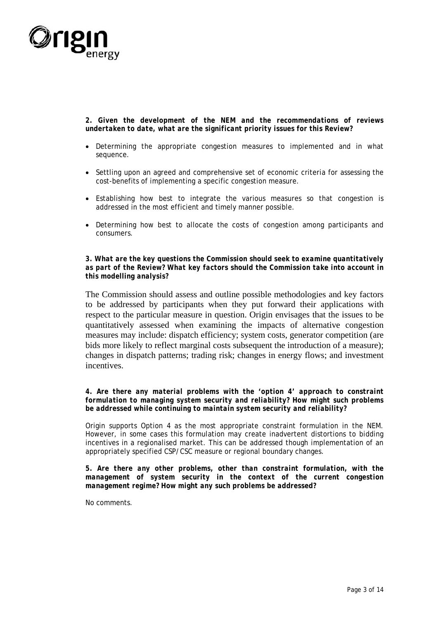

*2. Given the development of the NEM and the recommendations of reviews undertaken to date, what are the significant priority issues for this Review?* 

- Determining the appropriate congestion measures to implemented and in what sequence.
- Settling upon an agreed and comprehensive set of economic criteria for assessing the cost-benefits of implementing a specific congestion measure.
- Establishing how best to integrate the various measures so that congestion is addressed in the most efficient and timely manner possible.
- Determining how best to allocate the costs of congestion among participants and consumers.

# *3. What are the key questions the Commission should seek to examine quantitatively as part of the Review? What key factors should the Commission take into account in this modelling analysis?*

The Commission should assess and outline possible methodologies and key factors to be addressed by participants when they put forward their applications with respect to the particular measure in question. Origin envisages that the issues to be quantitatively assessed when examining the impacts of alternative congestion measures may include: dispatch efficiency; system costs, generator competition (are bids more likely to reflect marginal costs subsequent the introduction of a measure); changes in dispatch patterns; trading risk; changes in energy flows; and investment incentives.

## *4. Are there any material problems with the 'option 4' approach to constraint formulation to managing system security and reliability? How might such problems be addressed while continuing to maintain system security and reliability?*

Origin supports Option 4 as the most appropriate constraint formulation in the NEM. However, in some cases this formulation may create inadvertent distortions to bidding incentives in a regionalised market. This can be addressed though implementation of an appropriately specified CSP/CSC measure or regional boundary changes.

*5. Are there any other problems, other than constraint formulation, with the management of system security in the context of the current congestion management regime? How might any such problems be addressed?* 

No comments.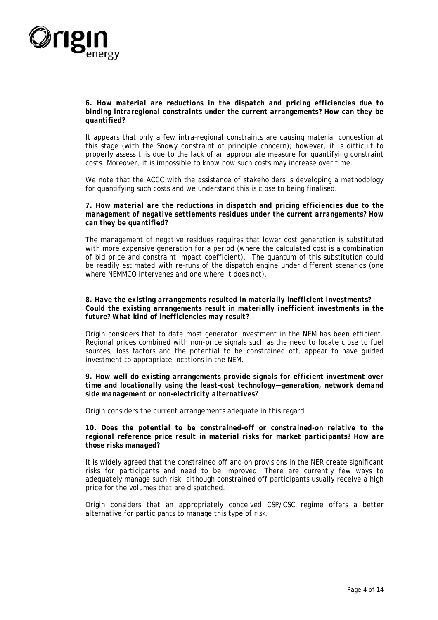

### *6. How material are reductions in the dispatch and pricing efficiencies due to binding intraregional constraints under the current arrangements? How can they be quantified?*

It appears that only a few intra-regional constraints are causing material congestion at this stage (with the Snowy constraint of principle concern); however, it is difficult to properly assess this due to the lack of an appropriate measure for quantifying constraint costs. Moreover, it is impossible to know how such costs may increase over time.

We note that the ACCC with the assistance of stakeholders is developing a methodology for quantifying such costs and we understand this is close to being finalised.

#### *7. How material are the reductions in dispatch and pricing efficiencies due to the management of negative settlements residues under the current arrangements? How can they be quantified?*

The management of negative residues requires that lower cost generation is substituted with more expensive generation for a period (where the calculated cost is a combination of bid price and constraint impact coefficient). The quantum of this substitution could be readily estimated with re-runs of the dispatch engine under different scenarios (one where NEMMCO intervenes and one where it does not).

#### *8. Have the existing arrangements resulted in materially inefficient investments? Could the existing arrangements result in materially inefficient investments in the future? What kind of inefficiencies may result?*

Origin considers that to date most generator investment in the NEM has been efficient. Regional prices combined with non-price signals such as the need to locate close to fuel sources, loss factors and the potential to be constrained off, appear to have guided investment to appropriate locations in the NEM.

#### *9. How well do existing arrangements provide signals for efficient investment over time and locationally using the least-cost technology—generation, network demand side management or non-electricity alternatives?*

Origin considers the current arrangements adequate in this regard.

#### 10. Does the potential to be constrained-off or constrained-on relative to the *regional reference price result in material risks for market participants? How are those risks managed?*

It is widely agreed that the constrained off and on provisions in the NER create significant risks for participants and need to be improved. There are currently few ways to adequately manage such risk, although constrained off participants usually receive a high price for the volumes that are dispatched.

Origin considers that an appropriately conceived CSP/CSC regime offers a better alternative for participants to manage this type of risk.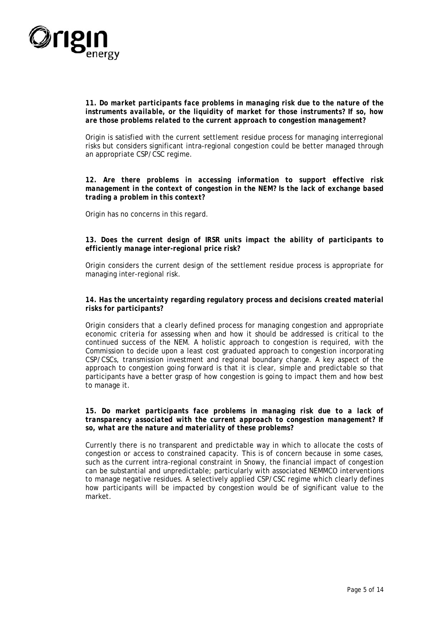

*11. Do market participants face problems in managing risk due to the nature of the instruments available, or the liquidity of market for those instruments? If so, how are those problems related to the current approach to congestion management?* 

Origin is satisfied with the current settlement residue process for managing interregional risks but considers significant intra-regional congestion could be better managed through an appropriate CSP/CSC regime.

*12. Are there problems in accessing information to support effective risk management in the context of congestion in the NEM? Is the lack of exchange based trading a problem in this context?* 

Origin has no concerns in this regard.

# *13. Does the current design of IRSR units impact the ability of participants to efficiently manage inter-regional price risk?*

Origin considers the current design of the settlement residue process is appropriate for managing inter-regional risk.

## *14. Has the uncertainty regarding regulatory process and decisions created material risks for participants?*

Origin considers that a clearly defined process for managing congestion and appropriate economic criteria for assessing when and how it should be addressed is critical to the continued success of the NEM. A holistic approach to congestion is required, with the Commission to decide upon a least cost graduated approach to congestion incorporating CSP/CSCs, transmission investment and regional boundary change. A key aspect of the approach to congestion going forward is that it is clear, simple and predictable so that participants have a better grasp of how congestion is going to impact them and how best to manage it.

## *15. Do market participants face problems in managing risk due to a lack of transparency associated with the current approach to congestion management? If so, what are the nature and materiality of these problems?*

Currently there is no transparent and predictable way in which to allocate the costs of congestion or access to constrained capacity. This is of concern because in some cases, such as the current intra-regional constraint in Snowy, the financial impact of congestion can be substantial and unpredictable; particularly with associated NEMMCO interventions to manage negative residues. A selectively applied CSP/CSC regime which clearly defines how participants will be impacted by congestion would be of significant value to the market.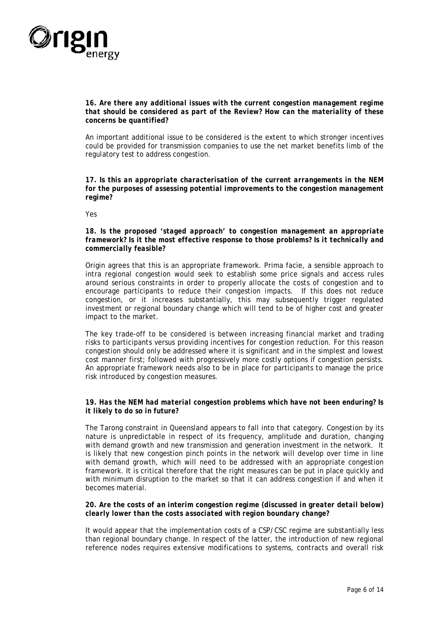

#### *16. Are there any additional issues with the current congestion management regime that should be considered as part of the Review? How can the materiality of these concerns be quantified?*

An important additional issue to be considered is the extent to which stronger incentives could be provided for transmission companies to use the net market benefits limb of the regulatory test to address congestion.

## *17. Is this an appropriate characterisation of the current arrangements in the NEM for the purposes of assessing potential improvements to the congestion management regime?*

Yes

## *18. Is the proposed 'staged approach' to congestion management an appropriate framework? Is it the most effective response to those problems? Is it technically and commercially feasible?*

Origin agrees that this is an appropriate framework. Prima facie, a sensible approach to intra regional congestion would seek to establish some price signals and access rules around serious constraints in order to properly allocate the costs of congestion and to encourage participants to reduce their congestion impacts. If this does not reduce congestion, or it increases substantially, this may subsequently trigger regulated investment or regional boundary change which will tend to be of higher cost and greater impact to the market.

The key trade-off to be considered is between increasing financial market and trading risks to participants versus providing incentives for congestion reduction. For this reason congestion should only be addressed where it is significant and in the simplest and lowest cost manner first; followed with progressively more costly options if congestion persists. An appropriate framework needs also to be in place for participants to manage the price risk introduced by congestion measures.

# *19. Has the NEM had material congestion problems which have not been enduring? Is it likely to do so in future?*

The Tarong constraint in Queensland appears to fall into that category. Congestion by its nature is unpredictable in respect of its frequency, amplitude and duration, changing with demand growth and new transmission and generation investment in the network. It is likely that new congestion pinch points in the network will develop over time in line with demand growth, which will need to be addressed with an appropriate congestion framework. It is critical therefore that the right measures can be put in place quickly and with minimum disruption to the market so that it can address congestion if and when it becomes material.

# *20. Are the costs of an interim congestion regime (discussed in greater detail below) clearly lower than the costs associated with region boundary change?*

It would appear that the implementation costs of a CSP/CSC regime are substantially less than regional boundary change. In respect of the latter, the introduction of new regional reference nodes requires extensive modifications to systems, contracts and overall risk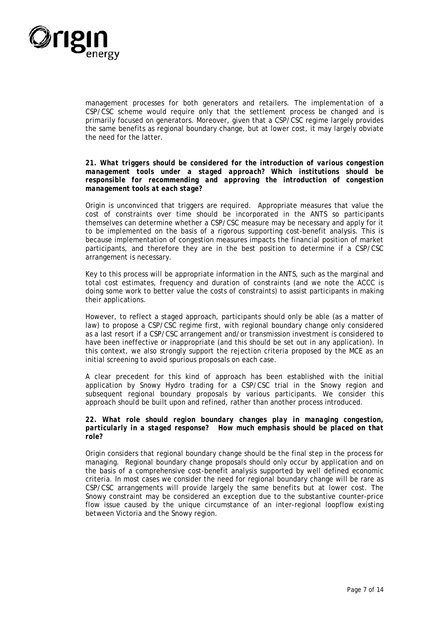

management processes for both generators and retailers. The implementation of a CSP/CSC scheme would require only that the settlement process be changed and is primarily focused on generators. Moreover, given that a CSP/CSC regime largely provides the same benefits as regional boundary change, but at lower cost, it may largely obviate the need for the latter.

*21. What triggers should be considered for the introduction of various congestion management tools under a staged approach? Which institutions should be responsible for recommending and approving the introduction of congestion management tools at each stage?* 

Origin is unconvinced that triggers are required. Appropriate measures that value the cost of constraints over time should be incorporated in the ANTS so participants themselves can determine whether a CSP/CSC measure may be necessary and apply for it to be implemented on the basis of a rigorous supporting cost-benefit analysis. This is because implementation of congestion measures impacts the financial position of market participants, and therefore they are in the best position to determine if a CSP/CSC arrangement is necessary.

Key to this process will be appropriate information in the ANTS, such as the marginal and total cost estimates, frequency and duration of constraints (and we note the ACCC is doing some work to better value the costs of constraints) to assist participants in making their applications.

However, to reflect a staged approach, participants should only be able (as a matter of law) to propose a CSP/CSC regime first, with regional boundary change only considered as a last resort if a CSP/CSC arrangement and/or transmission investment is considered to have been ineffective or inappropriate (and this should be set out in any application). In this context, we also strongly support the rejection criteria proposed by the MCE as an initial screening to avoid spurious proposals on each case.

A clear precedent for this kind of approach has been established with the initial application by Snowy Hydro trading for a CSP/CSC trial in the Snowy region and subsequent regional boundary proposals by various participants. We consider this approach should be built upon and refined, rather than another process introduced.

*22. What role should region boundary changes play in managing congestion, particularly in a staged response? How much emphasis should be placed on that role?* 

Origin considers that regional boundary change should be the final step in the process for managing. Regional boundary change proposals should only occur by application and on the basis of a comprehensive cost-benefit analysis supported by well defined economic criteria. In most cases we consider the need for regional boundary change will be rare as CSP/CSC arrangements will provide largely the same benefits but at lower cost. The Snowy constraint may be considered an exception due to the substantive counter-price flow issue caused by the unique circumstance of an inter-regional loopflow existing between Victoria and the Snowy region.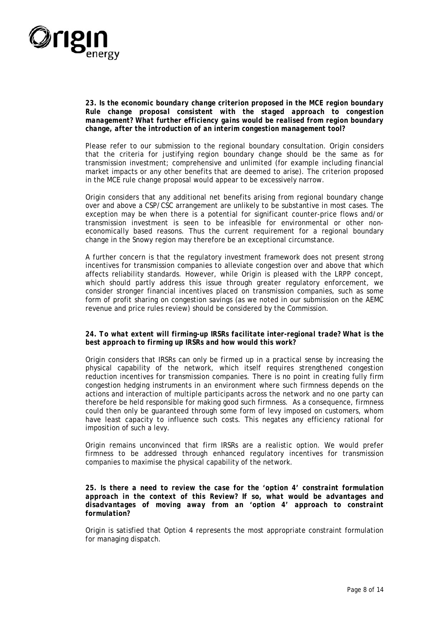

*23. Is the economic boundary change criterion proposed in the MCE region boundary Rule change proposal consistent with the staged approach to congestion management? What further efficiency gains would be realised from region boundary change, after the introduction of an interim congestion management tool?* 

Please refer to our submission to the regional boundary consultation. Origin considers that the criteria for justifying region boundary change should be the same as for transmission investment; comprehensive and unlimited (for example including financial market impacts or any other benefits that are deemed to arise). The criterion proposed in the MCE rule change proposal would appear to be excessively narrow.

Origin considers that any additional net benefits arising from regional boundary change over and above a CSP/CSC arrangement are unlikely to be substantive in most cases. The exception may be when there is a potential for significant counter-price flows and/or transmission investment is seen to be infeasible for environmental or other noneconomically based reasons. Thus the current requirement for a regional boundary change in the Snowy region may therefore be an exceptional circumstance.

A further concern is that the regulatory investment framework does not present strong incentives for transmission companies to alleviate congestion over and above that which affects reliability standards. However, while Origin is pleased with the LRPP concept, which should partly address this issue through greater regulatory enforcement, we consider stronger financial incentives placed on transmission companies, such as some form of profit sharing on congestion savings (as we noted in our submission on the AEMC revenue and price rules review) should be considered by the Commission.

#### *24. To what extent will firming-up IRSRs facilitate inter-regional trade? What is the best approach to firming up IRSRs and how would this work?*

Origin considers that IRSRs can only be firmed up in a practical sense by increasing the physical capability of the network, which itself requires strengthened congestion reduction incentives for transmission companies. There is no point in creating fully firm congestion hedging instruments in an environment where such firmness depends on the actions and interaction of multiple participants across the network and no one party can therefore be held responsible for making good such firmness. As a consequence, firmness could then only be guaranteed through some form of levy imposed on customers, whom have least capacity to influence such costs. This negates any efficiency rational for imposition of such a levy.

Origin remains unconvinced that firm IRSRs are a realistic option. We would prefer firmness to be addressed through enhanced regulatory incentives for transmission companies to maximise the physical capability of the network.

# *25. Is there a need to review the case for the 'option 4' constraint formulation approach in the context of this Review? If so, what would be advantages and disadvantages of moving away from an 'option 4' approach to constraint formulation?*

Origin is satisfied that Option 4 represents the most appropriate constraint formulation for managing dispatch.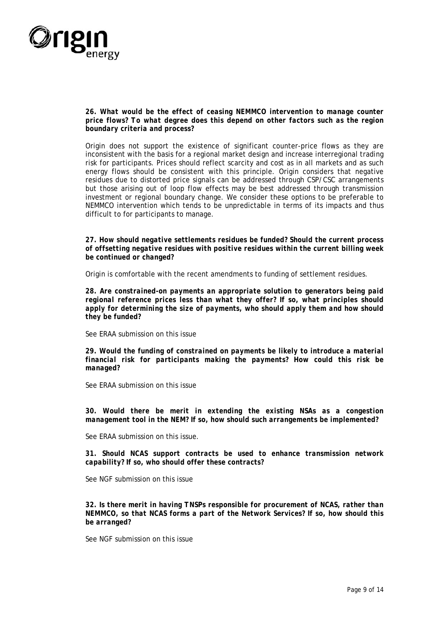

### *26. What would be the effect of ceasing NEMMCO intervention to manage counter price flows? To what degree does this depend on other factors such as the region boundary criteria and process?*

Origin does not support the existence of significant counter-price flows as they are inconsistent with the basis for a regional market design and increase interregional trading risk for participants. Prices should reflect scarcity and cost as in all markets and as such energy flows should be consistent with this principle. Origin considers that negative residues due to distorted price signals can be addressed through CSP/CSC arrangements but those arising out of loop flow effects may be best addressed through transmission investment or regional boundary change. We consider these options to be preferable to NEMMCO intervention which tends to be unpredictable in terms of its impacts and thus difficult to for participants to manage.

*27. How should negative settlements residues be funded? Should the current process of offsetting negative residues with positive residues within the current billing week be continued or changed?* 

Origin is comfortable with the recent amendments to funding of settlement residues.

*28. Are constrained-on payments an appropriate solution to generators being paid regional reference prices less than what they offer? If so, what principles should apply for determining the size of payments, who should apply them and how should they be funded?* 

See ERAA submission on this issue

*29. Would the funding of constrained on payments be likely to introduce a material financial risk for participants making the payments? How could this risk be managed?* 

See ERAA submission on this issue

*30. Would there be merit in extending the existing NSAs as a congestion management tool in the NEM? If so, how should such arrangements be implemented?* 

See ERAA submission on this issue.

*31. Should NCAS support contracts be used to enhance transmission network capability? If so, who should offer these contracts?* 

See NGF submission on this issue

*32. Is there merit in having TNSPs responsible for procurement of NCAS, rather than NEMMCO, so that NCAS forms a part of the Network Services? If so, how should this be arranged?* 

See NGF submission on this issue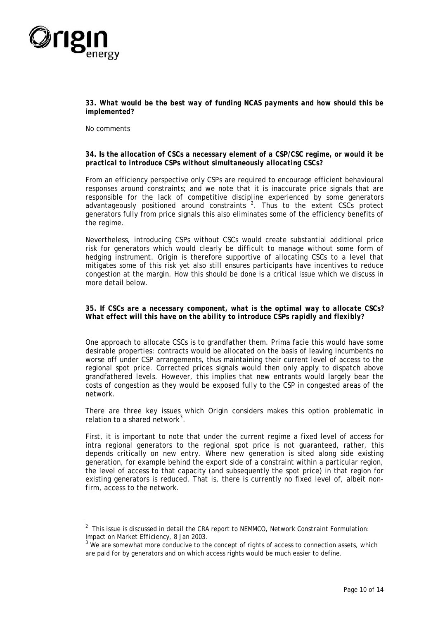

## *33. What would be the best way of funding NCAS payments and how should this be implemented?*

No comments

-

# *34. Is the allocation of CSCs a necessary element of a CSP/CSC regime, or would it be practical to introduce CSPs without simultaneously allocating CSCs?*

From an efficiency perspective only CSPs are required to encourage efficient behavioural responses around constraints; and we note that it is inaccurate price signals that are responsible for the lack of competitive discipline experienced by some generators advantageously positioned around constraints  $2$ . Thus to the extent CSCs protect generators fully from price signals this also eliminates some of the efficiency benefits of the regime.

Nevertheless, introducing CSPs without CSCs would create substantial additional price risk for generators which would clearly be difficult to manage without some form of hedging instrument. Origin is therefore supportive of allocating CSCs to a level that mitigates some of this risk yet also still ensures participants have incentives to reduce congestion at the margin. How this should be done is a critical issue which we discuss in more detail below.

# *35. If CSCs are a necessary component, what is the optimal way to allocate CSCs? What effect will this have on the ability to introduce CSPs rapidly and flexibly?*

One approach to allocate CSCs is to grandfather them. Prima facie this would have some desirable properties: contracts would be allocated on the basis of leaving incumbents no worse off under CSP arrangements, thus maintaining their current level of access to the regional spot price. Corrected prices signals would then only apply to dispatch above grandfathered levels. However, this implies that new entrants would largely bear the costs of congestion as they would be exposed fully to the CSP in congested areas of the network.

There are three key issues which Origin considers makes this option problematic in relation to a shared network $3$ .

First, it is important to note that under the current regime a fixed level of access for intra regional generators to the regional spot price is not guaranteed, rather, this depends critically on new entry. Where new generation is sited along side existing generation, for example behind the export side of a constraint within a particular region, the level of access to that capacity (and subsequently the spot price) in that region for existing generators is reduced. That is, there is currently no fixed level of, albeit nonfirm, access to the network.

<span id="page-9-0"></span><sup>2</sup> This issue is discussed in detail the CRA report to NEMMCO, *Network Constraint Formulation: Impact on Market Efficiency,* 8 Jan 2003.

<span id="page-9-1"></span> $3\text{ }\text{We}$  are somewhat more conducive to the concept of rights of access to connection assets, which are paid for by generators and on which access rights would be much easier to define.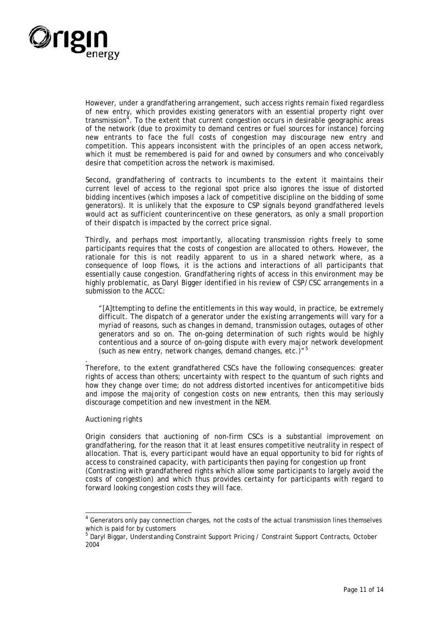

However, under a grandfathering arrangement, such access rights remain fixed regardless of new entry, which provides existing generators with an essential property right over transmission<sup>[4](#page-10-0)</sup>. To the extent that current congestion occurs in desirable geographic areas of the network (due to proximity to demand centres or fuel sources for instance) forcing new entrants to face the full costs of congestion may discourage new entry and competition. This appears inconsistent with the principles of an open access network, which it must be remembered is paid for and owned by consumers and who conceivably desire that competition across the network is maximised.

Second, grandfathering of contracts to incumbents to the extent it maintains their current level of access to the regional spot price also ignores the issue of distorted bidding incentives (which imposes a lack of competitive discipline on the bidding of some generators). It is unlikely that the exposure to CSP signals beyond grandfathered levels would act as sufficient counterincentive on these generators, as only a small proportion of their dispatch is impacted by the correct price signal.

Thirdly, and perhaps most importantly, allocating transmission rights freely to some participants requires that the costs of congestion are allocated to others. However, the rationale for this is not readily apparent to us in a shared network where, as a consequence of loop flows, it is the actions and interactions of all participants that essentially cause congestion. Grandfathering rights of access in this environment may be highly problematic, as Daryl Bigger identified in his review of CSP/CSC arrangements in a submission to the ACCC:

"[A]ttempting to define the entitlements in this way would, in practice, be extremely difficult. The dispatch of a generator under the existing arrangements will vary for a myriad of reasons, such as changes in demand, transmission outages, outages of other generators and so on. The on-going determination of such rights would be highly contentious and a source of on-going dispute with every major network development (such as new entry, network changes, demand changes, etc.) $75$  $75$ 

. Therefore, to the extent grandfathered CSCs have the following consequences: greater rights of access than others; uncertainty with respect to the quantum of such rights and how they change over time; do not address distorted incentives for anticompetitive bids and impose the majority of congestion costs on new entrants, then this may seriously discourage competition and new investment in the NEM.

#### *Auctioning rights*

1

Origin considers that auctioning of non-firm CSCs is a substantial improvement on grandfathering, for the reason that it at least ensures competitive neutrality in respect of allocation. That is, every participant would have an equal opportunity to bid for rights of access to constrained capacity, with participants then paying for congestion up front (Contrasting with grandfathered rights which allow some participants to largely avoid the costs of congestion) and which thus provides certainty for participants with regard to forward looking congestion costs they will face.

<span id="page-10-0"></span><sup>&</sup>lt;sup>4</sup> Generators only pay connection charges, not the costs of the actual transmission lines themselves which is paid for by customers

<span id="page-10-1"></span><sup>5</sup> Daryl Biggar, *Understanding Constraint Support Pricing / Constraint Support Contracts,* October 2004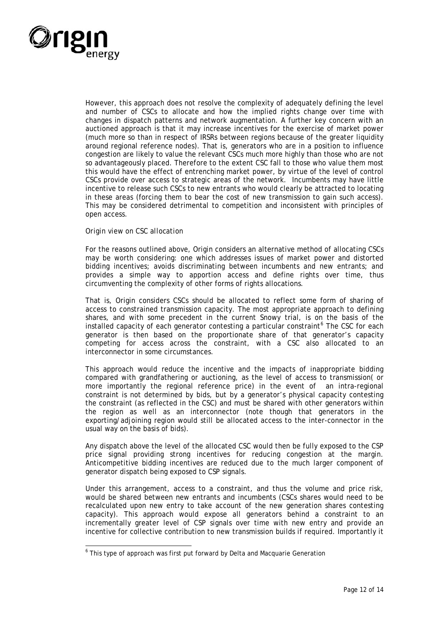

However, this approach does not resolve the complexity of adequately defining the level and number of CSCs to allocate and how the implied rights change over time with changes in dispatch patterns and network augmentation. A further key concern with an auctioned approach is that it may increase incentives for the exercise of market power (much more so than in respect of IRSRs between regions because of the greater liquidity around regional reference nodes). That is, generators who are in a position to influence congestion are likely to value the relevant CSCs much more highly than those who are not so advantageously placed. Therefore to the extent CSC fall to those who value them most this would have the effect of entrenching market power, by virtue of the level of control CSCs provide over access to strategic areas of the network. Incumbents may have little incentive to release such CSCs to new entrants who would clearly be attracted to locating in these areas (forcing them to bear the cost of new transmission to gain such access). This may be considered detrimental to competition and inconsistent with principles of open access.

# *Origin view on CSC allocation*

-

For the reasons outlined above, Origin considers an alternative method of allocating CSCs may be worth considering: one which addresses issues of market power and distorted bidding incentives; avoids discriminating between incumbents and new entrants; and provides a simple way to apportion access and define rights over time, thus circumventing the complexity of other forms of rights allocations.

That is, Origin considers CSCs should be allocated to reflect some form of sharing of access to constrained transmission capacity. The most appropriate approach to defining shares, and with some precedent in the current Snowy trial, is on the basis of the installed capacity of each generator contesting a particular constraint<sup>[6](#page-11-0)</sup> The CSC for each generator is then based on the proportionate share of that generator's capacity competing for access across the constraint, with a CSC also allocated to an interconnector in some circumstances.

This approach would reduce the incentive and the impacts of inappropriate bidding compared with grandfathering or auctioning, as the level of access to transmission( or more importantly the regional reference price) in the event of an intra-regional constraint is not determined by bids, but by a generator's physical capacity contesting the constraint (as reflected in the CSC) and must be shared with other generators within the region as well as an interconnector (note though that generators in the exporting/adjoining region would still be allocated access to the inter-connector in the usual way on the basis of bids).

Any dispatch above the level of the allocated CSC would then be fully exposed to the CSP price signal providing strong incentives for reducing congestion at the margin. Anticompetitive bidding incentives are reduced due to the much larger component of generator dispatch being exposed to CSP signals.

Under this arrangement, access to a constraint, and thus the volume and price risk, would be shared between new entrants and incumbents (CSCs shares would need to be recalculated upon new entry to take account of the new generation shares contesting capacity). This approach would expose all generators behind a constraint to an incrementally greater level of CSP signals over time with new entry and provide an incentive for collective contribution to new transmission builds if required. Importantly it

<span id="page-11-0"></span><sup>&</sup>lt;sup>6</sup> This type of approach was first put forward by Delta and Macquarie Generation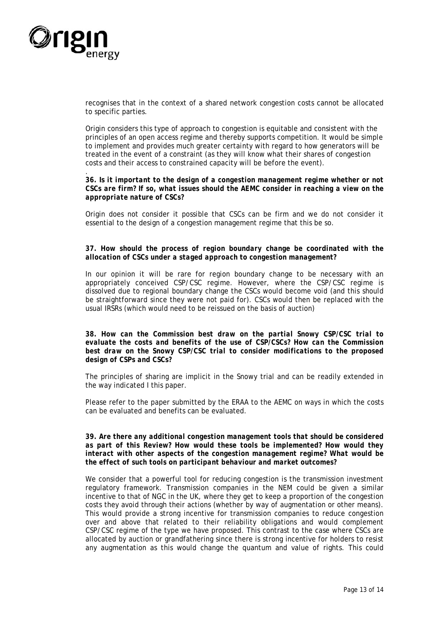

recognises that in the context of a shared network congestion costs cannot be allocated to specific parties.

Origin considers this type of approach to congestion is equitable and consistent with the principles of an open access regime and thereby supports competition. It would be simple to implement and provides much greater certainty with regard to how generators will be treated in the event of a constraint (as they will know what their shares of congestion costs and their access to constrained capacity will be before the event).

. *36. Is it important to the design of a congestion management regime whether or not CSCs are firm? If so, what issues should the AEMC consider in reaching a view on the appropriate nature of CSCs?* 

Origin does not consider it possible that CSCs can be firm and we do not consider it essential to the design of a congestion management regime that this be so.

## *37. How should the process of region boundary change be coordinated with the allocation of CSCs under a staged approach to congestion management?*

In our opinion it will be rare for region boundary change to be necessary with an appropriately conceived CSP/CSC regime. However, where the CSP/CSC regime is dissolved due to regional boundary change the CSCs would become void (and this should be straightforward since they were not paid for). CSCs would then be replaced with the usual IRSRs (which would need to be reissued on the basis of auction)

*38. How can the Commission best draw on the partial Snowy CSP/CSC trial to evaluate the costs and benefits of the use of CSP/CSCs? How can the Commission best draw on the Snowy CSP/CSC trial to consider modifications to the proposed design of CSPs and CSCs?* 

The principles of sharing are implicit in the Snowy trial and can be readily extended in the way indicated I this paper.

Please refer to the paper submitted by the ERAA to the AEMC on ways in which the costs can be evaluated and benefits can be evaluated.

# *39. Are there any additional congestion management tools that should be considered as part of this Review? How would these tools be implemented? How would they interact with other aspects of the congestion management regime? What would be the effect of such tools on participant behaviour and market outcomes?*

We consider that a powerful tool for reducing congestion is the transmission investment regulatory framework. Transmission companies in the NEM could be given a similar incentive to that of NGC in the UK, where they get to keep a proportion of the congestion costs they avoid through their actions (whether by way of augmentation or other means). This would provide a strong incentive for transmission companies to reduce congestion over and above that related to their reliability obligations and would complement CSP/CSC regime of the type we have proposed. This contrast to the case where CSCs are allocated by auction or grandfathering since there is strong incentive for holders to resist any augmentation as this would change the quantum and value of rights. This could